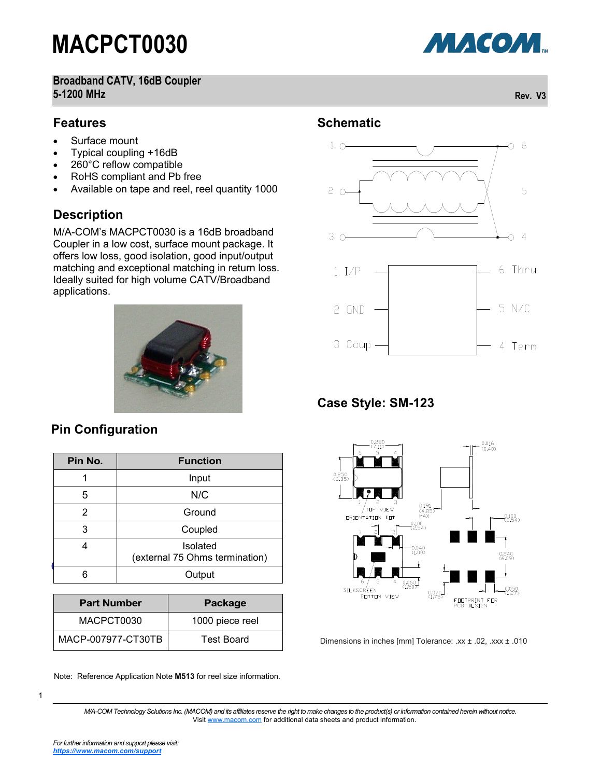**Broadband CATV, 16dB Coupler 5-1200 MHz Rev. V3**

#### **Features**

- Surface mount
- Typical coupling +16dB
- 260°C reflow compatible
- RoHS compliant and Pb free
- Available on tape and reel, reel quantity 1000

#### **Description**

M/A-COM's MACPCT0030 is a 16dB broadband Coupler in a low cost, surface mount package. It offers low loss, good isolation, good input/output matching and exceptional matching in return loss. Ideally suited for high volume CATV/Broadband applications.



#### **Pin Configuration**

| Pin No. | <b>Function</b>                                   |  |  |
|---------|---------------------------------------------------|--|--|
| 1       | Input                                             |  |  |
| 5       | N/C                                               |  |  |
| 2       | Ground                                            |  |  |
| 3       | Coupled                                           |  |  |
| 4       | <b>Isolated</b><br>(external 75 Ohms termination) |  |  |
|         | Output                                            |  |  |

| <b>Part Number</b> | Package         |
|--------------------|-----------------|
| MACPCT0030         | 1000 piece reel |
| MACP-007977-CT30TB | Test Board      |

Note: Reference Application Note **M513** for reel size information.

**Schematic**



#### **Case Style: SM-123**



Dimensions in inches [mm] Tolerance: .xx ± .02, .xxx ± .010

1

МАСОМ.

*M/A-COM Technology Solutions Inc. (MACOM) and its affiliates reserve the right to make changes to the product(s) or information contained herein without notice.*  Visit [www.macom.com](http://www.macom.com/) for additional data sheets and product information.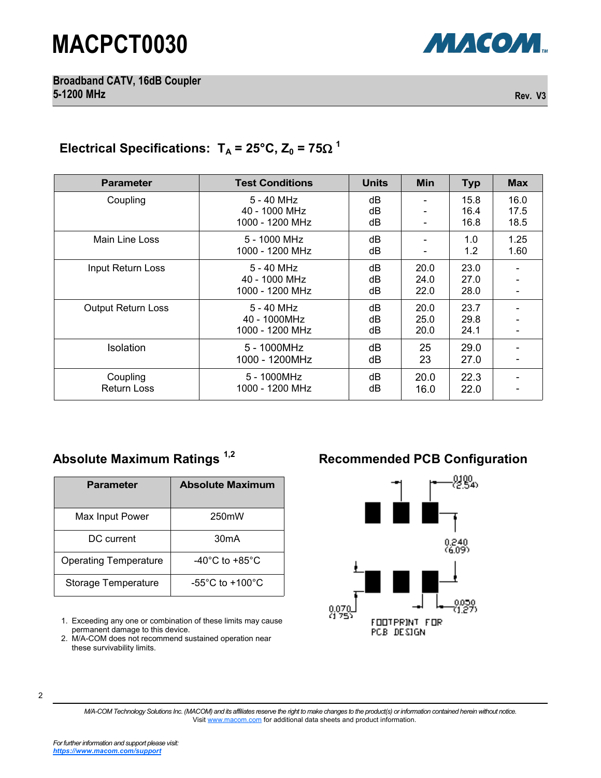

**Broadband CATV, 16dB Coupler 5-1200 MHz Rev. V3**

#### Electrical Specifications:  $T_A = 25^{\circ}C$ ,  $Z_0 = 75\Omega^{-1}$

| <b>Parameter</b>               | <b>Test Conditions</b>                         | <b>Units</b>   | <b>Min</b>           | <b>Typ</b>           | <b>Max</b>           |
|--------------------------------|------------------------------------------------|----------------|----------------------|----------------------|----------------------|
| Coupling                       | 5 - 40 MHz<br>40 - 1000 MHz<br>1000 - 1200 MHz | dB<br>dB<br>dB |                      | 15.8<br>16.4<br>16.8 | 16.0<br>17.5<br>18.5 |
| Main Line Loss                 | 5 - 1000 MHz<br>1000 - 1200 MHz                | dB<br>dB       |                      | 1.0<br>1.2           | 1.25<br>1.60         |
| Input Return Loss              | 5 - 40 MHz<br>40 - 1000 MHz<br>1000 - 1200 MHz | dB<br>dB<br>dB | 20.0<br>24.0<br>22.0 | 23.0<br>27.0<br>28.0 |                      |
| Output Return Loss             | 5 - 40 MHz<br>40 - 1000MHz<br>1000 - 1200 MHz  | dB<br>dB<br>dB | 20.0<br>25.0<br>20.0 | 23.7<br>29.8<br>24.1 |                      |
| Isolation                      | 5 - 1000MHz<br>1000 - 1200MHz                  | dB<br>dB       | 25<br>23             | 29.0<br>27.0         |                      |
| Coupling<br><b>Return Loss</b> | 5 - 1000MHz<br>1000 - 1200 MHz                 | dB<br>dB       | 20.0<br>16.0         | 22.3<br>22.0         |                      |

| <b>Parameter</b>             | <b>Absolute Maximum</b>             |  |  |
|------------------------------|-------------------------------------|--|--|
| Max Input Power              | 250 <sub>m</sub> W                  |  |  |
| DC current                   | 30 <sub>m</sub> A                   |  |  |
| <b>Operating Temperature</b> | $-40^{\circ}$ C to $+85^{\circ}$ C  |  |  |
| Storage Temperature          | $-55^{\circ}$ C to $+100^{\circ}$ C |  |  |

1. Exceeding any one or combination of these limits may cause permanent damage to this device.

2. M/A-COM does not recommend sustained operation near these survivability limits.

### Absolute Maximum Ratings<sup>1,2</sup> **Recommended PCB Configuration**



2

*M/A-COM Technology Solutions Inc. (MACOM) and its affiliates reserve the right to make changes to the product(s) or information contained herein without notice.*  Visit [www.macom.com](http://www.macom.com/) for additional data sheets and product information.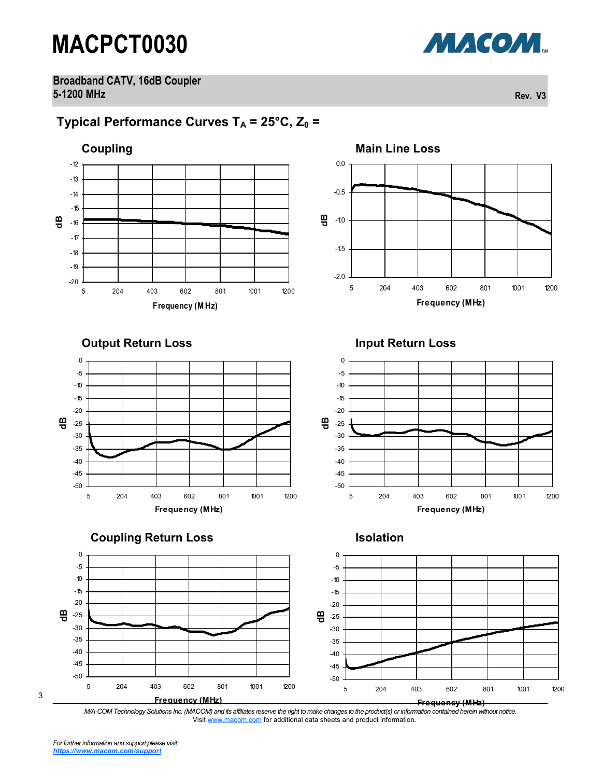МАСОМ.

**Broadband CATV, 16dB Coupler 5-1200 MHz Rev. V3**

### **Typical Performance Curves**  $T_A = 25^\circ \text{C}$ **,**  $Z_0 =$





**Output Return Loss Community Community Community Community Community Community Community Community Community Community Community Community Community Community Community Community Community Community Community Community Co** 



**Coupling Return Loss Isolation**





3

*M/A-COM Technology Solutions Inc. (MACOM) and its affiliates reserve the right to make changes to the product(s) or information contained herein without notice.*  Visit [www.macom.com](http://www.macom.com/) for additional data sheets and product information.